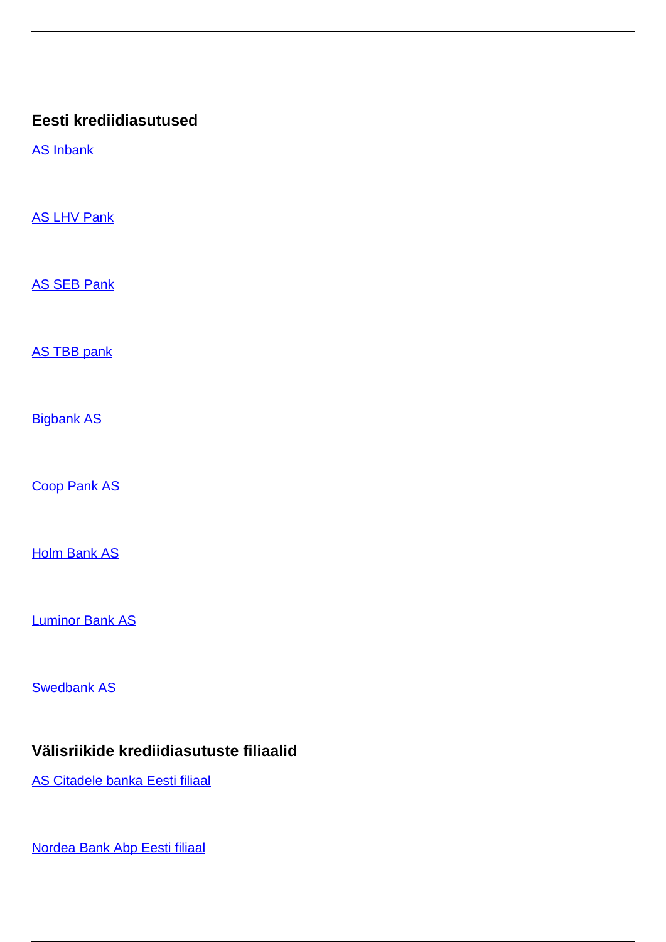# **Eesti krediidiasutused**

[AS Inbank](/et/pangandus-ja-krediit-0/pangandus-ja-krediit/krediidiasutused/eesti-krediidiasutused/inbank)

**[AS LHV Pank](/et/pangandus-ja-krediit-0/pangandus-ja-krediit/krediidiasutused/eesti-krediidiasutused/lhv-pank)** 

[AS SEB Pank](/et/pangandus-ja-krediit-0/pangandus-ja-krediit/krediidiasutused/eesti-krediidiasutused/seb-pank)

[AS TBB pank](/et/pangandus-ja-krediit-0/pangandus-ja-krediit/krediidiasutused/eesti-krediidiasutused/tbb-pank)

**[Bigbank AS](/et/pangandus-ja-krediit-0/pangandus-ja-krediit/krediidiasutused/eesti-krediidiasutused/bigbank)** 

[Coop Pank AS](/et/pangandus-ja-krediit-0/pangandus-ja-krediit/krediidiasutused/eesti-krediidiasutused/coop-pank)

**[Holm Bank AS](/et/pangandus-ja-krediit-0/pangandus-ja-krediit/krediidiasutused/eesti-krediidiasutused/holm-bank)** 

[Luminor Bank AS](/et/pangandus-ja-krediit-0/pangandus-ja-krediit/krediidiasutused/eesti-krediidiasutused/luminor-bank)

**[Swedbank AS](/et/pangandus-ja-krediit-0/pangandus-ja-krediit/krediidiasutused/eesti-krediidiasutused/swedbank)** 

## **Välisriikide krediidiasutuste filiaalid**

[AS Citadele banka Eesti filiaal](/et/pangandus-ja-krediit-0/pangandus-ja-krediit/krediidiasutused/valisriikide-krediidiasutuste-filiaalid/citadele-banka-eesti-filiaal)

[Nordea Bank Abp Eesti filiaal](/et/pangandus-ja-krediit-0/pangandus-ja-krediit/krediidiasutused/valisriikide-krediidiasutuste-filiaalid/nordea-bank-abp-eesti-filiaal)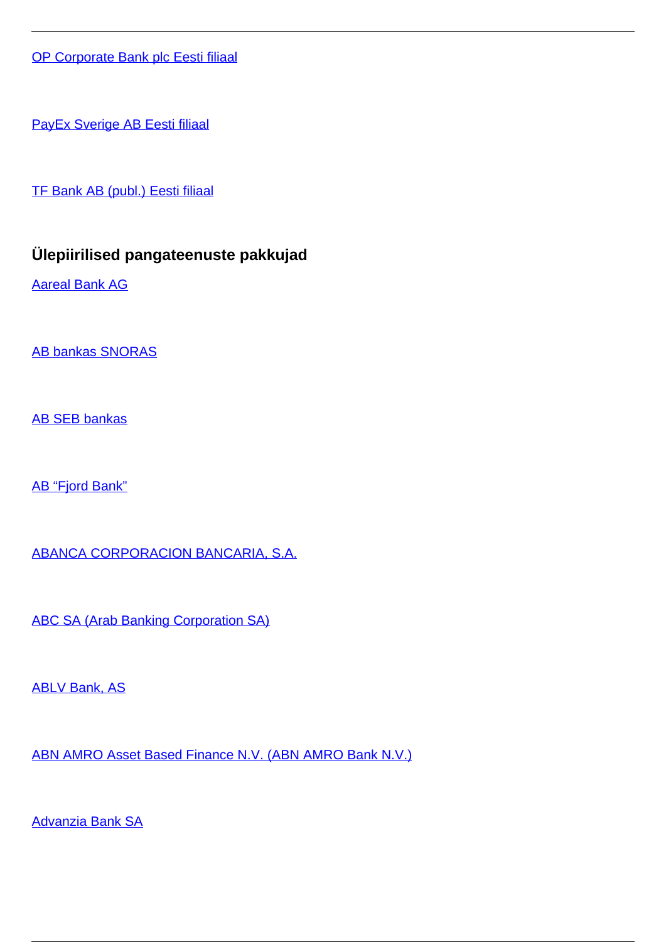[OP Corporate Bank plc Eesti filiaal](/et/pangandus-ja-krediit-0/pangandus-ja-krediit/krediidiasutused/valisriikide-krediidiasutuste-filiaalid/op-corporate-bank-plc-eesti-filiaal)

[PayEx Sverige AB Eesti filiaal](/et/pangandus-ja-krediit-0/pangandus-ja-krediit/krediidiasutused/valisriikide-krediidiasutuste-filiaalid/payex-sverige-ab-eesti-filiaal)

[TF Bank AB \(publ.\) Eesti filiaal](/et/pangandus-ja-krediit-0/pangandus-ja-krediit/krediidiasutused/valisriikide-krediidiasutuste-filiaalid/tf-bank-ab-publ-eesti-filiaal)

# **Ülepiirilised pangateenuste pakkujad**

[Aareal Bank AG](/et/pangandus-ja-krediit-0/pangandus-ja-krediit/krediidiasutused/ulepiirilised-pangateenuste-pakkujad/aareal-bank-ag)

[AB bankas SNORAS](/et/pangandus-ja-krediit-0/pangandus-ja-krediit/krediidiasutused/ulepiirilised-pangateenuste-pakkujad/ab-bankas-snoras)

[AB SEB bankas](/et/pangandus-ja-krediit-0/pangandus-ja-krediit/krediidiasutused/ulepiirilised-pangateenuste-pakkujad/ab-seb-bankas)

[AB "Fjord Bank"](/et/pangandus-ja-krediit-0/pangandus-ja-krediit/krediidiasutused/ulepiirilised-pangateenuste-pakkujad/ab-fjord-bank)

[ABANCA CORPORACION BANCARIA, S.A.](/et/pangandus-ja-krediit-0/pangandus-ja-krediit/krediidiasutused/ulepiirilised-pangateenuste-pakkujad/abanca-corporacion-bancaria-sa)

[ABC SA \(Arab Banking Corporation SA\)](/et/pangandus-ja-krediit-0/pangandus-ja-krediit/krediidiasutused/ulepiirilised-pangateenuste-pakkujad/abc-sa-arab-banking-corporation-sa)

**[ABLV Bank, AS](/et/pangandus-ja-krediit-0/pangandus-ja-krediit/krediidiasutused/ulepiirilised-pangateenuste-pakkujad/ablv-bank)** 

[ABN AMRO Asset Based Finance N.V. \(ABN AMRO Bank N.V.\)](/et/pangandus-ja-krediit-0/pangandus-ja-krediit/krediidiasutused/ulepiirilised-pangateenuste-pakkujad/abn-amro-asset-based-finance-nv-abn-amro-bank-nv)

[Advanzia Bank SA](/et/pangandus-ja-krediit-0/pangandus-ja-krediit/krediidiasutused/ulepiirilised-pangateenuste-pakkujad/advanzia-bank-sa)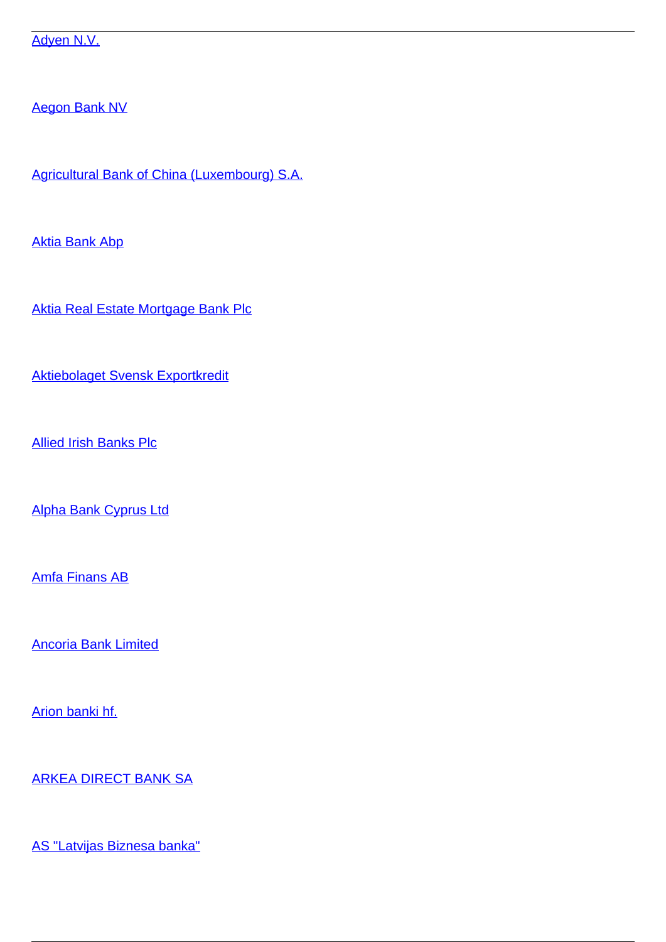[Adyen N.V.](/et/pangandus-ja-krediit-0/pangandus-ja-krediit/krediidiasutused/ulepiirilised-pangateenuste-pakkujad/adyen-nv)

[Aegon Bank NV](/et/pangandus-ja-krediit-0/pangandus-ja-krediit/krediidiasutused/ulepiirilised-pangateenuste-pakkujad/aegon-bank-nv)

[Agricultural Bank of China \(Luxembourg\) S.A.](/et/pangandus-ja-krediit-0/pangandus-ja-krediit/krediidiasutused/ulepiirilised-pangateenuste-pakkujad/agricultural-bank-china-luxembourg-sa)

[Aktia Bank Abp](/et/pangandus-ja-krediit-0/pangandus-ja-krediit/krediidiasutused/ulepiirilised-pangateenuste-pakkujad/aktia-bank-abp)

[Aktia Real Estate Mortgage Bank Plc](/et/pangandus-ja-krediit-0/pangandus-ja-krediit/krediidiasutused/ulepiirilised-pangateenuste-pakkujad/aktia-real-estate-mortgage-bank-plc)

[Aktiebolaget Svensk Exportkredit](/et/pangandus-ja-krediit-0/pangandus-ja-krediit/krediidiasutused/ulepiirilised-pangateenuste-pakkujad/aktiebolaget-svensk-exportkredit)

[Allied Irish Banks Plc](/et/pangandus-ja-krediit-0/pangandus-ja-krediit/krediidiasutused/ulepiirilised-pangateenuste-pakkujad/allied-irish-banks-plc)

[Alpha Bank Cyprus Ltd](/et/pangandus-ja-krediit-0/pangandus-ja-krediit/krediidiasutused/ulepiirilised-pangateenuste-pakkujad/alpha-bank-cyprus-ltd)

[Amfa Finans AB](/et/pangandus-ja-krediit-0/pangandus-ja-krediit/krediidiasutused/ulepiirilised-pangateenuste-pakkujad/amfa-finans-ab)

[Ancoria Bank Limited](/et/pangandus-ja-krediit-0/pangandus-ja-krediit/krediidiasutused/ulepiirilised-pangateenuste-pakkujad/ancoria-bank-limited)

[Arion banki hf.](/et/pangandus-ja-krediit-0/pangandus-ja-krediit/krediidiasutused/ulepiirilised-pangateenuste-pakkujad/arion-banki-hf)

[ARKEA DIRECT BANK SA](/et/pangandus-ja-krediit-0/pangandus-ja-krediit/krediidiasutused/ulepiirilised-pangateenuste-pakkujad/arkea-direct-bank-sa)

[AS "Latvijas Biznesa banka"](/et/pangandus-ja-krediit-0/pangandus-ja-krediit/krediidiasutused/ulepiirilised-pangateenuste-pakkujad/latvijas-biznesa-banka)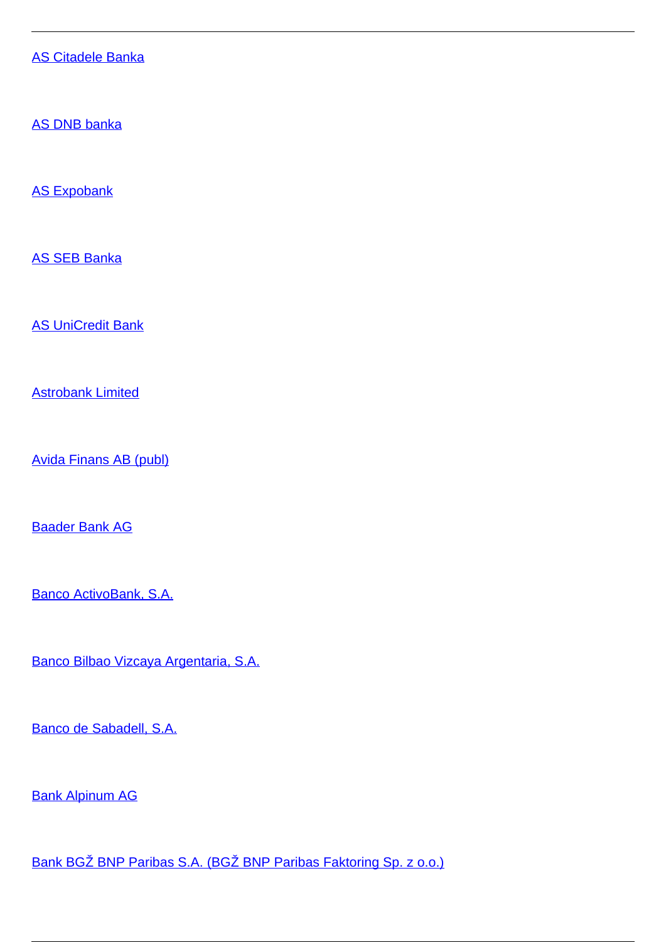[AS Citadele Banka](/et/pangandus-ja-krediit-0/pangandus-ja-krediit/krediidiasutused/ulepiirilised-pangateenuste-pakkujad/citadele-banka)

[AS DNB banka](/et/pangandus-ja-krediit-0/pangandus-ja-krediit/krediidiasutused/ulepiirilised-pangateenuste-pakkujad/dnb-banka)

[AS Expobank](/et/pangandus-ja-krediit-0/pangandus-ja-krediit/krediidiasutused/ulepiirilised-pangateenuste-pakkujad/expobank)

[AS SEB Banka](/et/pangandus-ja-krediit-0/pangandus-ja-krediit/krediidiasutused/ulepiirilised-pangateenuste-pakkujad/seb-banka)

[AS UniCredit Bank](/et/pangandus-ja-krediit-0/pangandus-ja-krediit/krediidiasutused/ulepiirilised-pangateenuste-pakkujad/unicredit-bank)

[Astrobank Limited](/et/pangandus-ja-krediit-0/pangandus-ja-krediit/krediidiasutused/ulepiirilised-pangateenuste-pakkujad/astrobank-limited)

[Avida Finans AB \(publ\)](/et/pangandus-ja-krediit-0/pangandus-ja-krediit/krediidiasutused/ulepiirilised-pangateenuste-pakkujad/avida-finans-ab-publ)

[Baader Bank AG](/et/pangandus-ja-krediit-0/pangandus-ja-krediit/krediidiasutused/ulepiirilised-pangateenuste-pakkujad/baader-bank-ag)

[Banco ActivoBank, S.A.](/et/pangandus-ja-krediit-0/pangandus-ja-krediit/krediidiasutused/ulepiirilised-pangateenuste-pakkujad/banco-activobank-sa)

[Banco Bilbao Vizcaya Argentaria, S.A.](/et/pangandus-ja-krediit-0/pangandus-ja-krediit/krediidiasutused/ulepiirilised-pangateenuste-pakkujad/banco-bilbao-vizcaya-argentaria-sa)

[Banco de Sabadell, S.A.](/et/pangandus-ja-krediit-0/pangandus-ja-krediit/krediidiasutused/ulepiirilised-pangateenuste-pakkujad/banco-de-sabadell-sa)

[Bank Alpinum AG](/et/pangandus-ja-krediit-0/pangandus-ja-krediit/krediidiasutused/ulepiirilised-pangateenuste-pakkujad/bank-alpinum-ag)

[Bank BGŽ BNP Paribas S.A. \(BGŽ BNP Paribas Faktoring Sp. z o.o.\)](/et/pangandus-ja-krediit-0/pangandus-ja-krediit/krediidiasutused/ulepiirilised-pangateenuste-pakkujad/bank-bgz-bnp-paribas-sa-bgz-bnp-paribas-faktoring-sp-z-oo)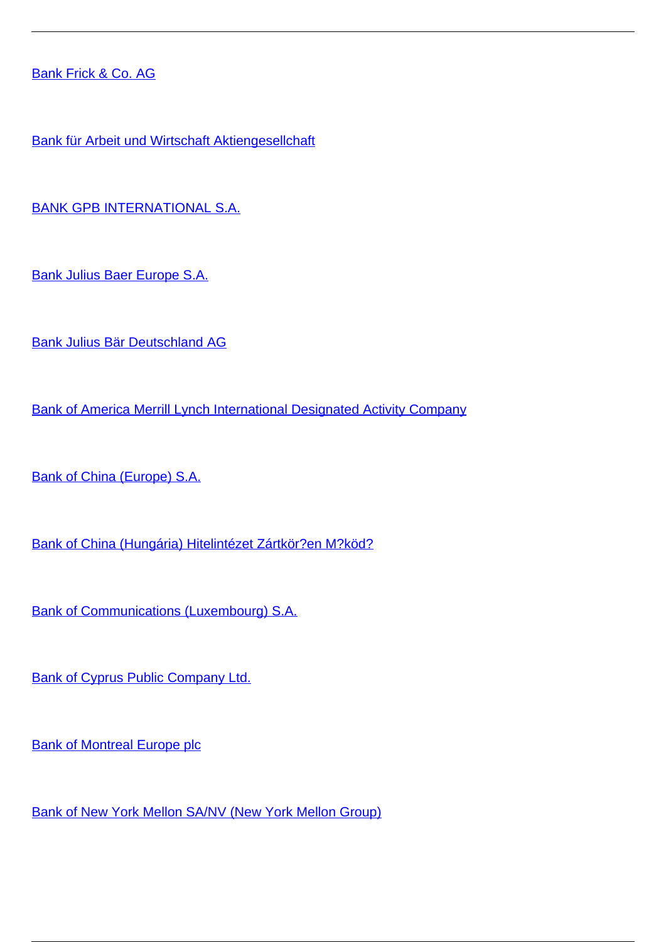[Bank Frick & Co. AG](/et/pangandus-ja-krediit-0/pangandus-ja-krediit/krediidiasutused/ulepiirilised-pangateenuste-pakkujad/bank-frick-co-ag)

[Bank für Arbeit und Wirtschaft Aktiengesellchaft](/et/pangandus-ja-krediit-0/pangandus-ja-krediit/krediidiasutused/ulepiirilised-pangateenuste-pakkujad/bank-fur-arbeit-und-wirtschaft-aktiengesellchaft)

[BANK GPB INTERNATIONAL S.A.](/et/pangandus-ja-krediit-0/pangandus-ja-krediit/krediidiasutused/ulepiirilised-pangateenuste-pakkujad/bank-gpb-international-sa)

[Bank Julius Baer Europe S.A.](/et/pangandus-ja-krediit-0/pangandus-ja-krediit/krediidiasutused/ulepiirilised-pangateenuste-pakkujad/bank-julius-baer-europe-sa)

[Bank Julius Bär Deutschland AG](/et/pangandus-ja-krediit-0/pangandus-ja-krediit/krediidiasutused/ulepiirilised-pangateenuste-pakkujad/bank-julius-bar-deutschland-ag)

[Bank of America Merrill Lynch International Designated Activity Company](/et/pangandus-ja-krediit-0/pangandus-ja-krediit/krediidiasutused/ulepiirilised-pangateenuste-pakkujad/bank-america-merrill-lynch-international-designated-activity-company)

[Bank of China \(Europe\) S.A.](/et/pangandus-ja-krediit-0/pangandus-ja-krediit/krediidiasutused/ulepiirilised-pangateenuste-pakkujad/bank-china-europe-sa)

[Bank of China \(Hungária\) Hitelintézet Zártkör?en M?köd?](/et/pangandus-ja-krediit-0/pangandus-ja-krediit/krediidiasutused/ulepiirilised-pangateenuste-pakkujad/bank-china-hungaria-hitelintezet-zartkoruen-mukodo)

[Bank of Communications \(Luxembourg\) S.A.](/et/pangandus-ja-krediit-0/pangandus-ja-krediit/krediidiasutused/ulepiirilised-pangateenuste-pakkujad/bank-communications-luxembourg-sa)

[Bank of Cyprus Public Company Ltd.](/et/pangandus-ja-krediit-0/pangandus-ja-krediit/krediidiasutused/ulepiirilised-pangateenuste-pakkujad/bank-cyprus-public-company-ltd)

[Bank of Montreal Europe plc](/et/pangandus-ja-krediit-0/pangandus-ja-krediit/krediidiasutused/ulepiirilised-pangateenuste-pakkujad/bank-montreal-europe-plc)

[Bank of New York Mellon SA/NV \(New York Mellon Group\)](/et/pangandus-ja-krediit-0/pangandus-ja-krediit/krediidiasutused/ulepiirilised-pangateenuste-pakkujad/bank-new-york-mellon-sanv-new-york-mellon-group)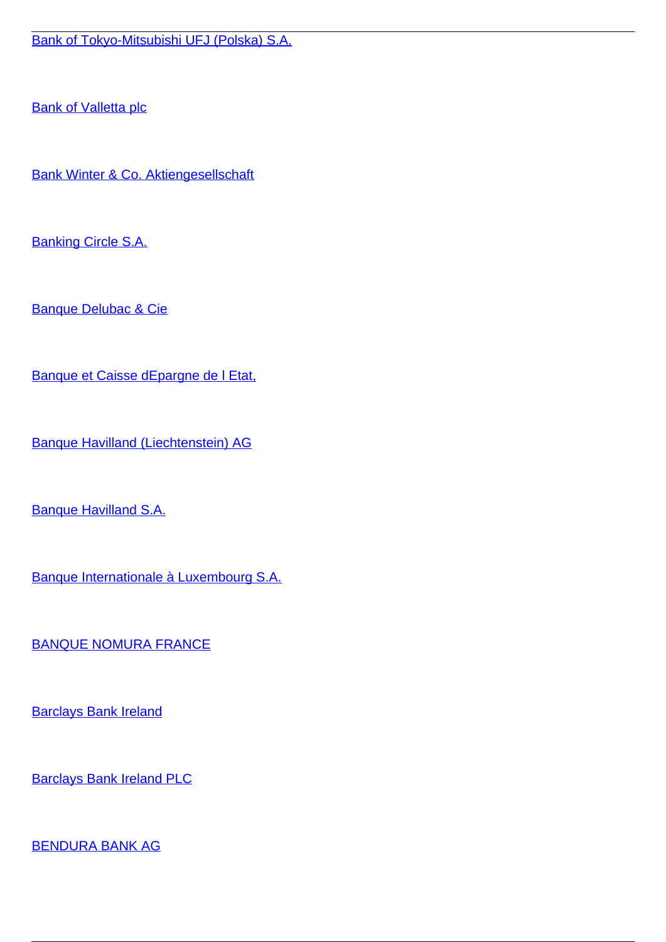[Bank of Tokyo-Mitsubishi UFJ \(Polska\) S.A.](/et/pangandus-ja-krediit-0/pangandus-ja-krediit/krediidiasutused/ulepiirilised-pangateenuste-pakkujad/bank-tokyo-mitsubishi-ufj-polska-sa)

**[Bank of Valletta plc](/et/pangandus-ja-krediit-0/pangandus-ja-krediit/krediidiasutused/ulepiirilised-pangateenuste-pakkujad/bank-valletta-plc)** 

[Bank Winter & Co. Aktiengesellschaft](/et/pangandus-ja-krediit-0/pangandus-ja-krediit/krediidiasutused/ulepiirilised-pangateenuste-pakkujad/bank-winter-co-aktiengesellschaft)

**[Banking Circle S.A.](/et/pangandus-ja-krediit-0/pangandus-ja-krediit/krediidiasutused/ulepiirilised-pangateenuste-pakkujad/banking-circle-sa)** 

[Banque Delubac & Cie](/et/pangandus-ja-krediit-0/pangandus-ja-krediit/krediidiasutused/ulepiirilised-pangateenuste-pakkujad/banque-delubac-cie)

[Banque et Caisse dEpargne de l Etat,](/et/pangandus-ja-krediit-0/pangandus-ja-krediit/krediidiasutused/ulepiirilised-pangateenuste-pakkujad/banque-et-caisse-depargne-de-l-etat)

[Banque Havilland \(Liechtenstein\) AG](/et/pangandus-ja-krediit-0/pangandus-ja-krediit/krediidiasutused/ulepiirilised-pangateenuste-pakkujad/banque-havilland-liechtenstein-ag)

[Banque Havilland S.A.](/et/pangandus-ja-krediit-0/pangandus-ja-krediit/krediidiasutused/ulepiirilised-pangateenuste-pakkujad/banque-havilland-sa)

[Banque Internationale à Luxembourg S.A.](/et/pangandus-ja-krediit-0/pangandus-ja-krediit/krediidiasutused/ulepiirilised-pangateenuste-pakkujad/banque-internationale-luxembourg-sa)

[BANQUE NOMURA FRANCE](/et/pangandus-ja-krediit-0/pangandus-ja-krediit/krediidiasutused/ulepiirilised-pangateenuste-pakkujad/banque-nomura-france)

**[Barclays Bank Ireland](/et/pangandus-ja-krediit-0/pangandus-ja-krediit/krediidiasutused/ulepiirilised-pangateenuste-pakkujad/barclays-bank-ireland)** 

[Barclays Bank Ireland PLC](/et/pangandus-ja-krediit-0/pangandus-ja-krediit/krediidiasutused/ulepiirilised-pangateenuste-pakkujad/barclays-bank-ireland-plc)

[BENDURA BANK AG](/et/pangandus-ja-krediit-0/pangandus-ja-krediit/krediidiasutused/ulepiirilised-pangateenuste-pakkujad/bendura-bank-ag)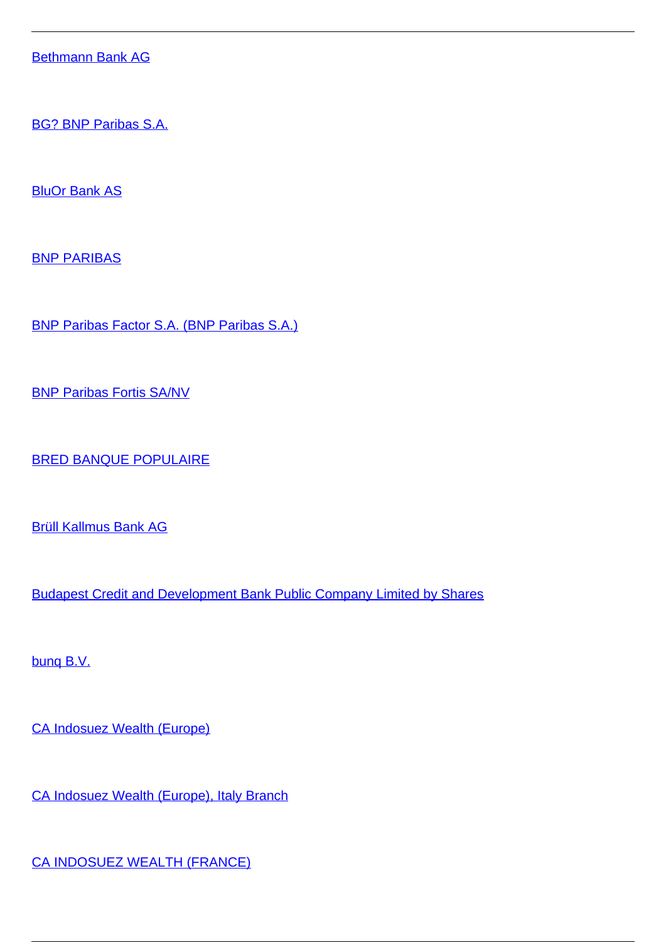[Bethmann Bank AG](/et/pangandus-ja-krediit-0/pangandus-ja-krediit/krediidiasutused/ulepiirilised-pangateenuste-pakkujad/bethmann-bank-ag)

[BG? BNP Paribas S.A.](/et/pangandus-ja-krediit-0/pangandus-ja-krediit/krediidiasutused/ulepiirilised-pangateenuste-pakkujad/bgz-bnp-paribas-sa)

**[BluOr Bank AS](/et/pangandus-ja-krediit-0/pangandus-ja-krediit/krediidiasutused/ulepiirilised-pangateenuste-pakkujad/bluor-bank)** 

[BNP PARIBAS](/et/pangandus-ja-krediit-0/pangandus-ja-krediit/krediidiasutused/ulepiirilised-pangateenuste-pakkujad/bnp-paribas)

[BNP Paribas Factor S.A. \(BNP Paribas S.A.\)](/et/pangandus-ja-krediit-0/pangandus-ja-krediit/krediidiasutused/ulepiirilised-pangateenuste-pakkujad/bnp-paribas-factor-sa-bnp-paribas-sa)

[BNP Paribas Fortis SA/NV](/et/pangandus-ja-krediit-0/pangandus-ja-krediit/krediidiasutused/ulepiirilised-pangateenuste-pakkujad/bnp-paribas-fortis-sanv)

[BRED BANQUE POPULAIRE](/et/pangandus-ja-krediit-0/pangandus-ja-krediit/krediidiasutused/ulepiirilised-pangateenuste-pakkujad/bred-banque-populaire)

[Brüll Kallmus Bank AG](/et/pangandus-ja-krediit-0/pangandus-ja-krediit/krediidiasutused/ulepiirilised-pangateenuste-pakkujad/brull-kallmus-bank-ag)

[Budapest Credit and Development Bank Public Company Limited by Shares](/et/pangandus-ja-krediit-0/pangandus-ja-krediit/krediidiasutused/ulepiirilised-pangateenuste-pakkujad/budapest-credit-and-development-bank-public-company-limited-shares)

[bunq B.V.](/et/pangandus-ja-krediit-0/pangandus-ja-krediit/krediidiasutused/ulepiirilised-pangateenuste-pakkujad/bunq-bv)

[CA Indosuez Wealth \(Europe\)](/et/pangandus-ja-krediit-0/pangandus-ja-krediit/krediidiasutused/ulepiirilised-pangateenuste-pakkujad/ca-indosuez-wealth-europe)

[CA Indosuez Wealth \(Europe\), Italy Branch](/et/pangandus-ja-krediit-0/pangandus-ja-krediit/krediidiasutused/ulepiirilised-pangateenuste-pakkujad/ca-indosuez-wealth-europe-italy-branch)

[CA INDOSUEZ WEALTH \(FRANCE\)](/et/pangandus-ja-krediit-0/pangandus-ja-krediit/krediidiasutused/ulepiirilised-pangateenuste-pakkujad/ca-indosuez-wealth-france)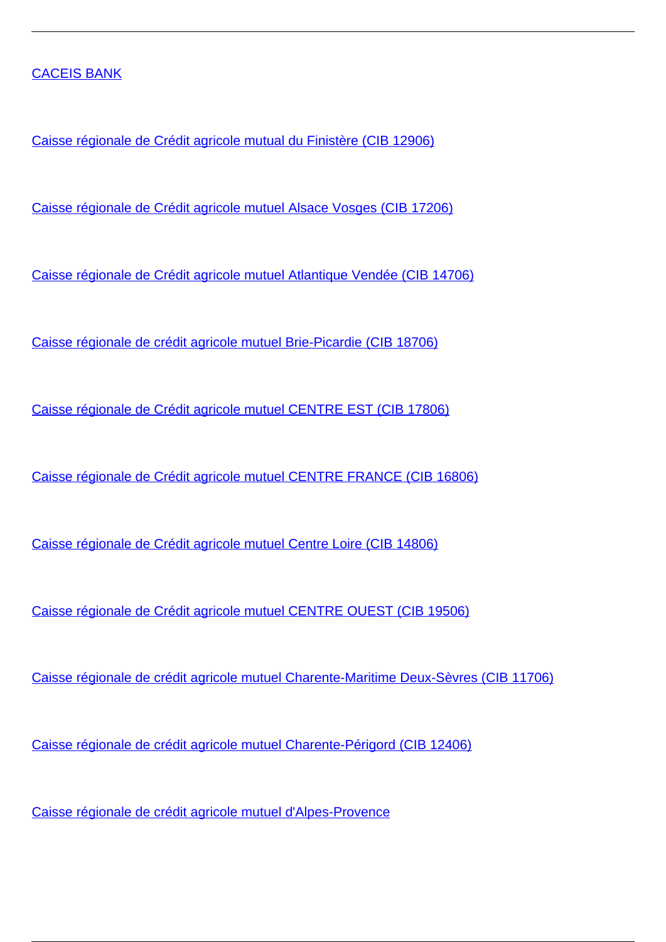#### [CACEIS BANK](/et/pangandus-ja-krediit-0/pangandus-ja-krediit/krediidiasutused/ulepiirilised-pangateenuste-pakkujad/caceis-bank)

[Caisse régionale de Crédit agricole mutual du Finistère \(CIB 12906\)](/et/pangandus-ja-krediit-0/pangandus-ja-krediit/krediidiasutused/ulepiirilised-pangateenuste-pakkujad/caisse-regionale-de-credit-agricole-mutual-du-finistere-cib-12906)

[Caisse régionale de Crédit agricole mutuel Alsace Vosges \(CIB 17206\)](/et/pangandus-ja-krediit-0/pangandus-ja-krediit/krediidiasutused/ulepiirilised-pangateenuste-pakkujad/caisse-regionale-de-credit-agricole-mutuel-alsace-vosges-cib-17206)

[Caisse régionale de Crédit agricole mutuel Atlantique Vendée \(CIB 14706\)](/et/pangandus-ja-krediit-0/pangandus-ja-krediit/krediidiasutused/ulepiirilised-pangateenuste-pakkujad/caisse-regionale-de-credit-agricole-mutuel-atlantique-vendee-cib-14706)

[Caisse régionale de crédit agricole mutuel Brie-Picardie \(CIB 18706\)](/et/pangandus-ja-krediit-0/pangandus-ja-krediit/krediidiasutused/ulepiirilised-pangateenuste-pakkujad/caisse-regionale-de-credit-agricole-mutuel-brie-picardie-cib-18706)

[Caisse régionale de Crédit agricole mutuel CENTRE EST \(CIB 17806\)](/et/pangandus-ja-krediit-0/pangandus-ja-krediit/krediidiasutused/ulepiirilised-pangateenuste-pakkujad/caisse-regionale-de-credit-agricole-mutuel-centre-est-cib-17806)

[Caisse régionale de Crédit agricole mutuel CENTRE FRANCE \(CIB 16806\)](/et/pangandus-ja-krediit-0/pangandus-ja-krediit/krediidiasutused/ulepiirilised-pangateenuste-pakkujad/caisse-regionale-de-credit-agricole-mutuel-centre-france-cib-16806)

[Caisse régionale de Crédit agricole mutuel Centre Loire \(CIB 14806\)](/et/pangandus-ja-krediit-0/pangandus-ja-krediit/krediidiasutused/ulepiirilised-pangateenuste-pakkujad/caisse-regionale-de-credit-agricole-mutuel-centre-loire-cib-14806)

[Caisse régionale de Crédit agricole mutuel CENTRE OUEST \(CIB 19506\)](/et/pangandus-ja-krediit-0/pangandus-ja-krediit/krediidiasutused/ulepiirilised-pangateenuste-pakkujad/caisse-regionale-de-credit-agricole-mutuel-centre-ouest-cib-19506)

[Caisse régionale de crédit agricole mutuel Charente-Maritime Deux-Sèvres \(CIB 11706\)](/et/pangandus-ja-krediit-0/pangandus-ja-krediit/krediidiasutused/ulepiirilised-pangateenuste-pakkujad/caisse-regionale-de-credit-agricole-mutuel-charente-maritime-deux-sevres-cib-11706)

[Caisse régionale de crédit agricole mutuel Charente-Périgord \(CIB 12406\)](/et/pangandus-ja-krediit-0/pangandus-ja-krediit/krediidiasutused/ulepiirilised-pangateenuste-pakkujad/caisse-regionale-de-credit-agricole-mutuel-charente-perigord-cib-12406)

[Caisse régionale de crédit agricole mutuel d'Alpes-Provence](/et/pangandus-ja-krediit-0/pangandus-ja-krediit/krediidiasutused/ulepiirilised-pangateenuste-pakkujad/caisse-regionale-de-credit-agricole-mutuel-dalpes-provence)